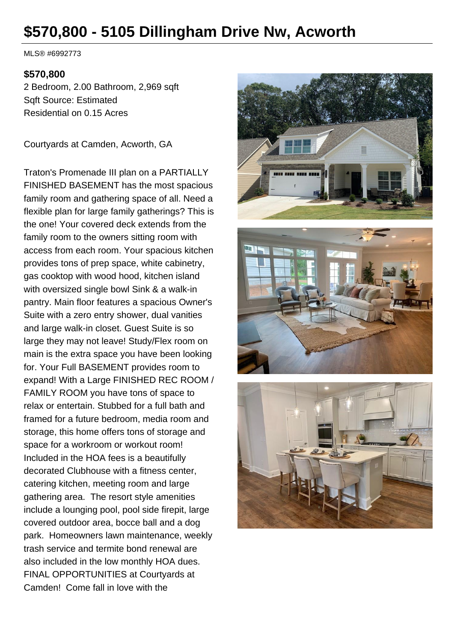# **\$570,800 - 5105 Dillingham Drive Nw, Acworth**

MLS® #6992773

#### **\$570,800**

2 Bedroom, 2.00 Bathroom, 2,969 sqft Sqft Source: Estimated Residential on 0.15 Acres

Courtyards at Camden, Acworth, GA

Traton's Promenade III plan on a PARTIALLY FINISHED BASEMENT has the most spacious family room and gathering space of all. Need a flexible plan for large family gatherings? This is the one! Your covered deck extends from the family room to the owners sitting room with access from each room. Your spacious kitchen provides tons of prep space, white cabinetry, gas cooktop with wood hood, kitchen island with oversized single bowl Sink & a walk-in pantry. Main floor features a spacious Owner's Suite with a zero entry shower, dual vanities and large walk-in closet. Guest Suite is so large they may not leave! Study/Flex room on main is the extra space you have been looking for. Your Full BASEMENT provides room to expand! With a Large FINISHED REC ROOM / FAMILY ROOM you have tons of space to relax or entertain. Stubbed for a full bath and framed for a future bedroom, media room and storage, this home offers tons of storage and space for a workroom or workout room! Included in the HOA fees is a beautifully decorated Clubhouse with a fitness center, catering kitchen, meeting room and large gathering area. The resort style amenities include a lounging pool, pool side firepit, large covered outdoor area, bocce ball and a dog park. Homeowners lawn maintenance, weekly trash service and termite bond renewal are also included in the low monthly HOA dues. FINAL OPPORTUNITIES at Courtyards at Camden! Come fall in love with the

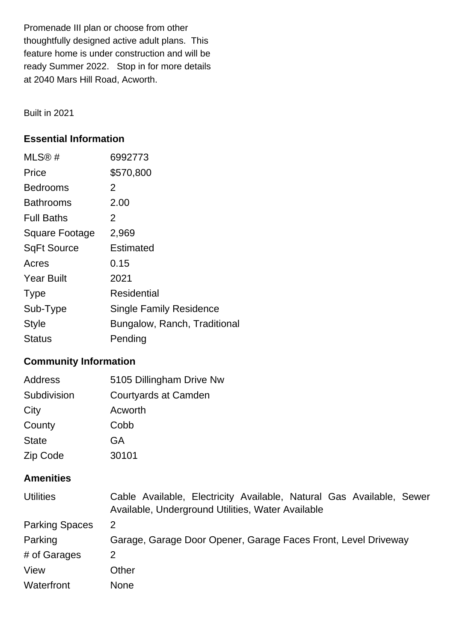Promenade III plan or choose from other thoughtfully designed active adult plans. This feature home is under construction and will be ready Summer 2022. Stop in for more details at 2040 Mars Hill Road, Acworth.

Built in 2021

## **Essential Information**

| MLS®#              | 6992773                        |
|--------------------|--------------------------------|
| Price              | \$570,800                      |
| <b>Bedrooms</b>    | 2                              |
| Bathrooms          | 2.00                           |
| <b>Full Baths</b>  | 2                              |
| Square Footage     | 2,969                          |
| <b>SqFt Source</b> | Estimated                      |
| Acres              | 0.15                           |
| <b>Year Built</b>  | 2021                           |
| <b>Type</b>        | Residential                    |
| Sub-Type           | <b>Single Family Residence</b> |
| <b>Style</b>       | Bungalow, Ranch, Traditional   |
| Status             | Pending                        |

## **Community Information**

| Address      | 5105 Dillingham Drive Nw |
|--------------|--------------------------|
| Subdivision  | Courtyards at Camden     |
| City         | Acworth                  |
| County       | Cobb                     |
| <b>State</b> | GA                       |
| Zip Code     | 30101                    |

## **Amenities**

| <b>Utilities</b>      | Cable Available, Electricity Available, Natural Gas Available, Sewer<br>Available, Underground Utilities, Water Available |
|-----------------------|---------------------------------------------------------------------------------------------------------------------------|
| <b>Parking Spaces</b> | 2                                                                                                                         |
| Parking               | Garage, Garage Door Opener, Garage Faces Front, Level Driveway                                                            |
| # of Garages          | 2                                                                                                                         |
| View                  | Other                                                                                                                     |
| Waterfront            | <b>None</b>                                                                                                               |